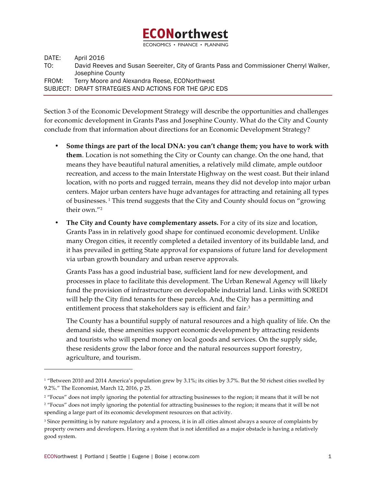# **ECONorthwest**

ECONOMICS · FINANCE

DATE: April 2016 TO: David Reeves and Susan Seereiter, City of Grants Pass and Commissioner Cherryl Walker, Josephine County FROM: Terry Moore and Alexandra Reese, ECONorthwest SUBJECT: DRAFT STRATEGIES AND ACTIONS FOR THE GPJC EDS

Section 3 of the Economic Development Strategy will describe the opportunities and challenges for economic development in Grants Pass and Josephine County. What do the City and County conclude from that information about directions for an Economic Development Strategy?

- **Some things are part of the local DNA: you can't change them; you have to work with them**. Location is not something the City or County can change. On the one hand, that means they have beautiful natural amenities, a relatively mild climate, ample outdoor recreation, and access to the main Interstate Highway on the west coast. But their inland location, with no ports and rugged terrain, means they did not develop into major urban centers. Major urban centers have huge advantages for attracting and retaining all types of businesses.<sup>1</sup> This trend suggests that the City and County should focus on "growing their own."2
- **The City and County have complementary assets.** For a city of its size and location, Grants Pass in in relatively good shape for continued economic development. Unlike many Oregon cities, it recently completed a detailed inventory of its buildable land, and it has prevailed in getting State approval for expansions of future land for development via urban growth boundary and urban reserve approvals.

Grants Pass has a good industrial base, sufficient land for new development, and processes in place to facilitate this development. The Urban Renewal Agency will likely fund the provision of infrastructure on developable industrial land. Links with SOREDI will help the City find tenants for these parcels. And, the City has a permitting and entitlement process that stakeholders say is efficient and fair.<sup>3</sup>

The County has a bountiful supply of natural resources and a high quality of life. On the demand side, these amenities support economic development by attracting residents and tourists who will spend money on local goods and services. On the supply side, these residents grow the labor force and the natural resources support forestry, agriculture, and tourism.

 $\overline{a}$ 

<sup>&</sup>lt;sup>1</sup> "Between 2010 and 2014 America's population grew by 3.1%; its cities by 3.7%. But the 50 richest cities swelled by 9.2%." The Economist, March 12, 2016, p 25.

<sup>&</sup>lt;sup>2</sup> "Focus" does not imply ignoring the potential for attracting businesses to the region; it means that it will be not <sup>2</sup> "Focus" does not imply ignoring the potential for attracting businesses to the region; it means that it will be not spending a large part of its economic development resources on that activity.

<sup>&</sup>lt;sup>3</sup> Since permitting is by nature regulatory and a process, it is in all cities almost always a source of complaints by property owners and developers. Having a system that is not identified as a major obstacle is having a relatively good system.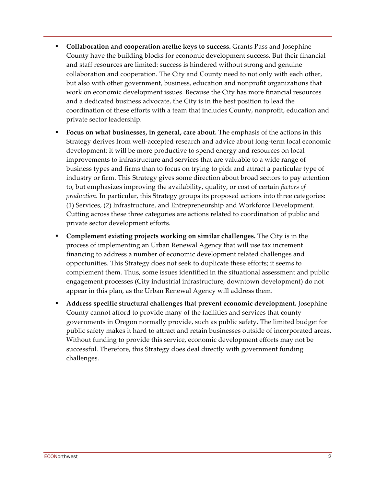- ! **Collaboration and cooperation arethe keys to success.** Grants Pass and Josephine County have the building blocks for economic development success. But their financial and staff resources are limited: success is hindered without strong and genuine collaboration and cooperation. The City and County need to not only with each other, but also with other government, business, education and nonprofit organizations that work on economic development issues. Because the City has more financial resources and a dedicated business advocate, the City is in the best position to lead the coordination of these efforts with a team that includes County, nonprofit, education and private sector leadership.
- ! **Focus on what businesses, in general, care about.** The emphasis of the actions in this Strategy derives from well-accepted research and advice about long-term local economic development: it will be more productive to spend energy and resources on local improvements to infrastructure and services that are valuable to a wide range of business types and firms than to focus on trying to pick and attract a particular type of industry or firm. This Strategy gives some direction about broad sectors to pay attention to, but emphasizes improving the availability, quality, or cost of certain *factors of production.* In particular, this Strategy groups its proposed actions into three categories: (1) Services, (2) Infrastructure, and Entrepreneurship and Workforce Development. Cutting across these three categories are actions related to coordination of public and private sector development efforts.
- ! **Complement existing projects working on similar challenges.** The City is in the process of implementing an Urban Renewal Agency that will use tax increment financing to address a number of economic development related challenges and opportunities. This Strategy does not seek to duplicate these efforts; it seems to complement them. Thus, some issues identified in the situational assessment and public engagement processes (City industrial infrastructure, downtown development) do not appear in this plan, as the Urban Renewal Agency will address them.
- ! **Address specific structural challenges that prevent economic development.** Josephine County cannot afford to provide many of the facilities and services that county governments in Oregon normally provide, such as public safety. The limited budget for public safety makes it hard to attract and retain businesses outside of incorporated areas. Without funding to provide this service, economic development efforts may not be successful. Therefore, this Strategy does deal directly with government funding challenges.